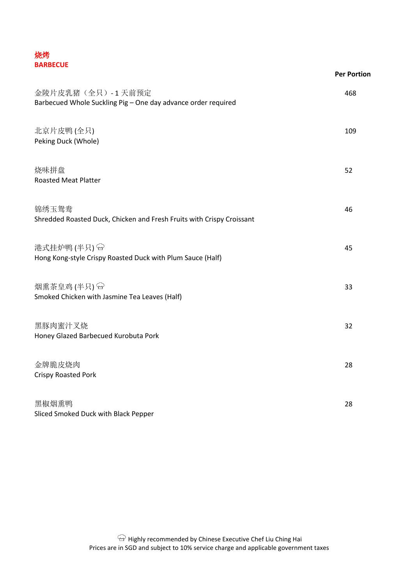| 烧烤              |  |
|-----------------|--|
| <b>BARBECUE</b> |  |

|                                                                                   | <b>Per Portion</b> |
|-----------------------------------------------------------------------------------|--------------------|
| 金陵片皮乳猪(全只)-1天前预定<br>Barbecued Whole Suckling Pig - One day advance order required | 468                |
| 北京片皮鸭(全只)<br>Peking Duck (Whole)                                                  | 109                |
| 烧味拼盘<br><b>Roasted Meat Platter</b>                                               | 52                 |
| 锦绣玉鸳鸯<br>Shredded Roasted Duck, Chicken and Fresh Fruits with Crispy Croissant    | 46                 |
| 港式挂炉鸭(半只)<br>Hong Kong-style Crispy Roasted Duck with Plum Sauce (Half)           | 45                 |
| 烟熏茶皇鸡(半只) ~<br>Smoked Chicken with Jasmine Tea Leaves (Half)                      | 33                 |
| 黑豚肉蜜汁叉烧<br>Honey Glazed Barbecued Kurobuta Pork                                   | 32                 |
| 金牌脆皮烧肉<br><b>Crispy Roasted Pork</b>                                              | 28                 |
| 黑椒烟熏鸭<br>Sliced Smoked Duck with Black Pepper                                     | 28                 |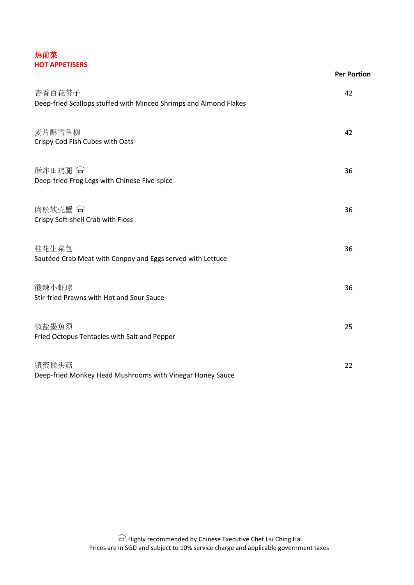## 热前菜 **HOT APPETISERS**

|                                                                             | <b>Per Portion</b> |
|-----------------------------------------------------------------------------|--------------------|
| 杏香百花带子<br>Deep-fried Scallops stuffed with Minced Shrimps and Almond Flakes | 42                 |
|                                                                             |                    |
| 麦片酥雪鱼柳                                                                      | 42                 |
| Crispy Cod Fish Cubes with Oats                                             |                    |
| 酥炸田鸡腿 <sup>●</sup>                                                          | 36                 |
| Deep-fried Frog Legs with Chinese Five-spice                                |                    |
| 肉松软壳蟹 <sup>4</sup>                                                          | 36                 |
| Crispy Soft-shell Crab with Floss                                           |                    |
| 桂花生菜包                                                                       | 36                 |
| Sautéed Crab Meat with Conpoy and Eggs served with Lettuce                  |                    |
| 酸辣小虾球                                                                       | 36                 |
| Stir-fried Prawns with Hot and Sour Sauce                                   |                    |
| 椒盐墨魚须                                                                       | 25                 |
| Fried Octopus Tentacles with Salt and Pepper                                |                    |
| 镇蜜猴头菇                                                                       | 22                 |
| Deep-fried Monkey Head Mushrooms with Vinegar Honey Sauce                   |                    |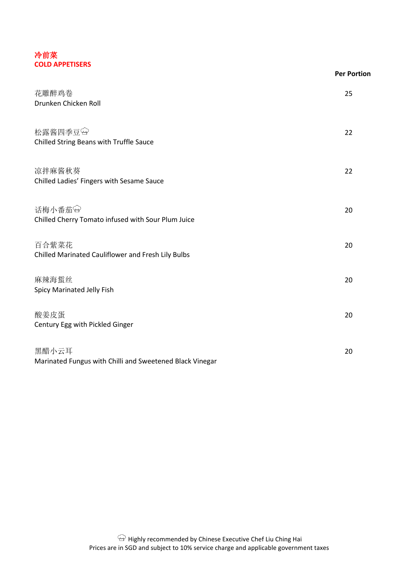#### 冷前菜 **COLD APPETISERS**

|                                                                   | <b>Per Portion</b> |
|-------------------------------------------------------------------|--------------------|
| 花雕醉鸡卷<br>Drunken Chicken Roll                                     | 25                 |
| 松露酱四季豆<br>Chilled String Beans with Truffle Sauce                 | 22                 |
| 凉拌麻酱秋葵<br>Chilled Ladies' Fingers with Sesame Sauce               | 22                 |
| 话梅小番茄<br>Chilled Cherry Tomato infused with Sour Plum Juice       | 20                 |
| 百合紫菜花<br>Chilled Marinated Cauliflower and Fresh Lily Bulbs       | 20                 |
| 麻辣海蜇丝<br>Spicy Marinated Jelly Fish                               | 20                 |
| 酸姜皮蛋<br>Century Egg with Pickled Ginger                           | 20                 |
| 黑醋小云耳<br>Marinated Fungus with Chilli and Sweetened Black Vinegar | 20                 |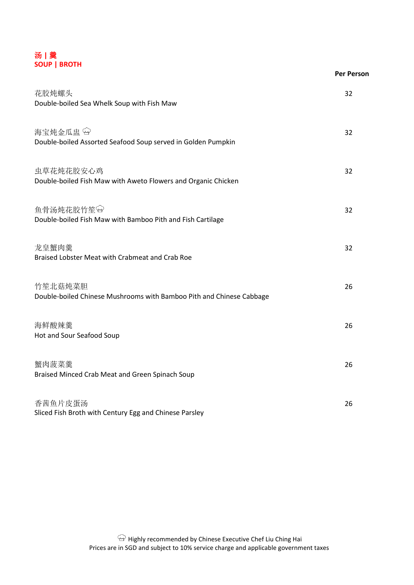

|                                                                                 | <b>Per Person</b> |
|---------------------------------------------------------------------------------|-------------------|
| 花胶炖螺头<br>Double-boiled Sea Whelk Soup with Fish Maw                             | 32                |
| 海宝炖金瓜盅 &<br>Double-boiled Assorted Seafood Soup served in Golden Pumpkin        | 32                |
| 虫草花炖花胶安心鸡<br>Double-boiled Fish Maw with Aweto Flowers and Organic Chicken      | 32                |
| 鱼骨汤炖花胶竹笙<br>Double-boiled Fish Maw with Bamboo Pith and Fish Cartilage          | 32                |
| 龙皇蟹肉羹<br>Braised Lobster Meat with Crabmeat and Crab Roe                        | 32                |
| 竹笙北菇炖菜胆<br>Double-boiled Chinese Mushrooms with Bamboo Pith and Chinese Cabbage | 26                |
| 海鲜酸辣羹<br>Hot and Sour Seafood Soup                                              | 26                |
| 蟹肉菠菜羹<br>Braised Minced Crab Meat and Green Spinach Soup                        | 26                |
| 香茜鱼片皮蛋汤<br>Sliced Fish Broth with Century Egg and Chinese Parsley               | 26                |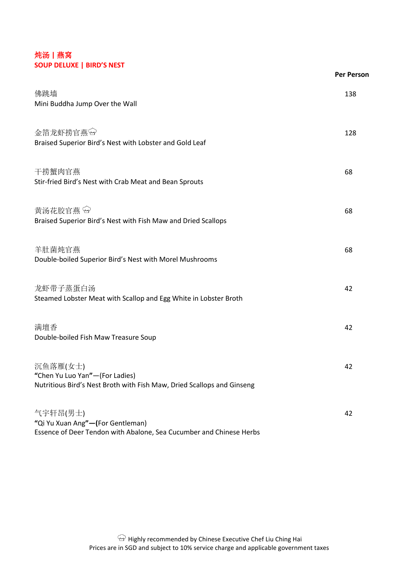# 炖汤 **|** 燕窝 **SOUP DELUXE | BIRD'S NEST**

| <b>SOOT DELONE   DIND STREST</b>                                                                                     | <b>Per Person</b> |
|----------------------------------------------------------------------------------------------------------------------|-------------------|
| 佛跳墙<br>Mini Buddha Jump Over the Wall                                                                                | 138               |
| 金箔龙虾捞官燕臼<br>Braised Superior Bird's Nest with Lobster and Gold Leaf                                                  | 128               |
| 干捞蟹肉官燕<br>Stir-fried Bird's Nest with Crab Meat and Bean Sprouts                                                     | 68                |
| 黄汤花胶官燕<br>Braised Superior Bird's Nest with Fish Maw and Dried Scallops                                              | 68                |
| 羊肚菌炖官燕<br>Double-boiled Superior Bird's Nest with Morel Mushrooms                                                    | 68                |
| 龙虾带子蒸蛋白汤<br>Steamed Lobster Meat with Scallop and Egg White in Lobster Broth                                         | 42                |
| 满壇香<br>Double-boiled Fish Maw Treasure Soup                                                                          | 42                |
| 沉鱼落雁(女士)<br>"Chen Yu Luo Yan"-(For Ladies)<br>Nutritious Bird's Nest Broth with Fish Maw, Dried Scallops and Ginseng | 42                |
| 气宇轩昂(男士)<br>"Qi Yu Xuan Ang"-(For Gentleman)<br>Essence of Deer Tendon with Abalone, Sea Cucumber and Chinese Herbs  | 42                |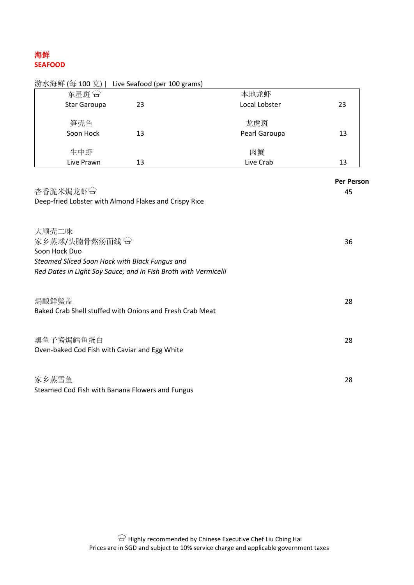# 海鲜 **SEAFOOD**

| 游水海鲜 (每 100 克)   Live Seafood (per 100 grams)                                                                                                                 |    |               |                         |
|---------------------------------------------------------------------------------------------------------------------------------------------------------------|----|---------------|-------------------------|
| 东星斑兮                                                                                                                                                          |    | 本地龙虾          |                         |
| Star Garoupa                                                                                                                                                  | 23 | Local Lobster | 23                      |
| 笋壳鱼                                                                                                                                                           |    | 龙虎斑           |                         |
| Soon Hock                                                                                                                                                     | 13 | Pearl Garoupa | 13                      |
| 生中虾                                                                                                                                                           |    | 肉蟹            |                         |
| Live Prawn                                                                                                                                                    | 13 | Live Crab     | 13                      |
| 杏香脆米焗龙虾田<br>Deep-fried Lobster with Almond Flakes and Crispy Rice                                                                                             |    |               | <b>Per Person</b><br>45 |
| 大顺壳二味<br>家乡蒸球/头腩骨熬汤面线 →<br>Soon Hock Duo<br>Steamed Sliced Soon Hock with Black Fungus and<br>Red Dates in Light Soy Sauce; and in Fish Broth with Vermicelli |    |               | 36                      |
| 焗酿鲜蟹盖<br>Baked Crab Shell stuffed with Onions and Fresh Crab Meat                                                                                             |    |               | 28                      |
| 黑鱼子酱焗鳕鱼蛋白<br>Oven-baked Cod Fish with Caviar and Egg White                                                                                                    |    |               | 28                      |
| 家乡蒸雪鱼                                                                                                                                                         |    |               | 28                      |

Steamed Cod Fish with Banana Flowers and Fungus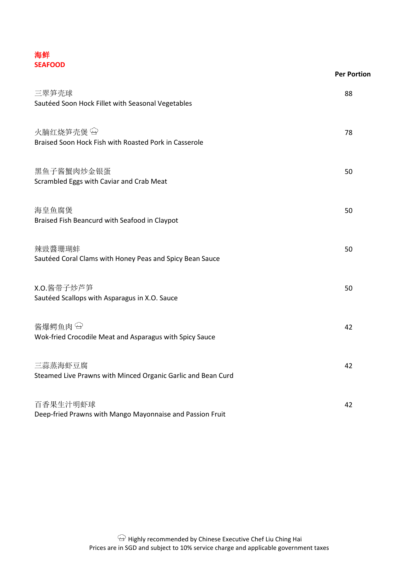## 海鲜 **SEAFOOD**

| <b>SEAFOOD</b>                                                          | <b>Per Portion</b> |
|-------------------------------------------------------------------------|--------------------|
| 三翠笋壳球<br>Sautéed Soon Hock Fillet with Seasonal Vegetables              | 88                 |
| 火腩红烧笋壳煲 &<br>Braised Soon Hock Fish with Roasted Pork in Casserole      | 78                 |
| 黑鱼子酱蟹肉炒金银蛋<br>Scrambled Eggs with Caviar and Crab Meat                  | 50                 |
| 海皇鱼腐煲<br>Braised Fish Beancurd with Seafood in Claypot                  | 50                 |
| 辣豉醬珊瑚蚌<br>Sautéed Coral Clams with Honey Peas and Spicy Bean Sauce      | 50                 |
| X.O.酱带子炒芦笋<br>Sautéed Scallops with Asparagus in X.O. Sauce             | 50                 |
| 酱爆鳄鱼肉♀<br>Wok-fried Crocodile Meat and Asparagus with Spicy Sauce       | 42                 |
| 三蒜蒸海虾豆腐<br>Steamed Live Prawns with Minced Organic Garlic and Bean Curd | 42                 |
| 百香果生汁明虾球<br>Deep-fried Prawns with Mango Mayonnaise and Passion Fruit   | 42                 |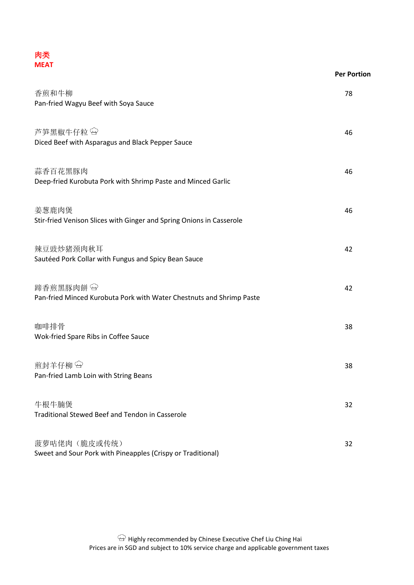

|                                                                                   | <b>Per Portion</b> |
|-----------------------------------------------------------------------------------|--------------------|
| 香煎和牛柳<br>Pan-fried Wagyu Beef with Soya Sauce                                     | 78                 |
| 芦笋黑椒牛仔粒<br>Diced Beef with Asparagus and Black Pepper Sauce                       | 46                 |
| 蒜香百花黑豚肉<br>Deep-fried Kurobuta Pork with Shrimp Paste and Minced Garlic           | 46                 |
| 姜葱鹿肉煲<br>Stir-fried Venison Slices with Ginger and Spring Onions in Casserole     | 46                 |
| 辣豆豉炒猪颈肉秋耳<br>Sautéed Pork Collar with Fungus and Spicy Bean Sauce                 | 42                 |
| 蹄香煎黑豚肉餅 9<br>Pan-fried Minced Kurobuta Pork with Water Chestnuts and Shrimp Paste | 42                 |
| 咖啡排骨<br>Wok-fried Spare Ribs in Coffee Sauce                                      | 38                 |
| 煎封羊仔柳 &<br>Pan-fried Lamb Loin with String Beans                                  | 38                 |
| 牛根牛腩煲<br><b>Traditional Stewed Beef and Tendon in Casserole</b>                   | 32                 |
| 菠萝咕佬肉 (脆皮或传统)<br>Sweet and Sour Pork with Pineapples (Crispy or Traditional)      | 32                 |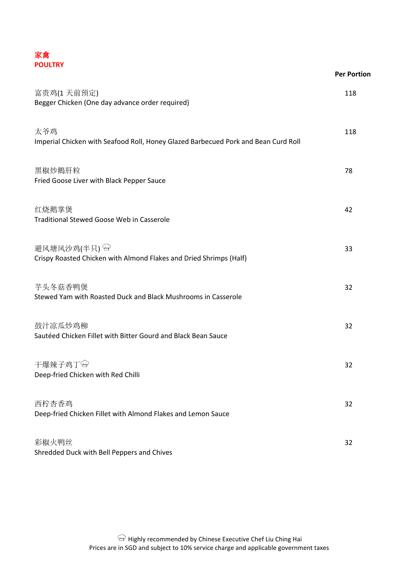

|                                                                                           | <b>Per Portion</b> |
|-------------------------------------------------------------------------------------------|--------------------|
| 富贵鸡(1天前預定)<br>Begger Chicken (One day advance order required)                             | 118                |
| 太爷鸡<br>Imperial Chicken with Seafood Roll, Honey Glazed Barbecued Pork and Bean Curd Roll | 118                |
| 黑椒炒鵝肝粒<br>Fried Goose Liver with Black Pepper Sauce                                       | 78                 |
| 红烧鹅掌煲<br><b>Traditional Stewed Goose Web in Casserole</b>                                 | 42                 |
| 避风塘风沙鸡(半只) &<br>Crispy Roasted Chicken with Almond Flakes and Dried Shrimps (Half)        | 33                 |
| 芋头冬菇香鸭煲<br>Stewed Yam with Roasted Duck and Black Mushrooms in Casserole                  | 32                 |
| 鼓汁凉瓜炒鸡柳<br>Sautéed Chicken Fillet with Bitter Gourd and Black Bean Sauce                  | 32                 |
| 干爆辣子鸡丁 <sup>〇</sup><br>Deep-fried Chicken with Red Chilli                                 | 32                 |
| 西柠杏香鸡<br>Deep-fried Chicken Fillet with Almond Flakes and Lemon Sauce                     | 32                 |
| 彩椒火鸭丝<br>Shredded Duck with Bell Peppers and Chives                                       | 32                 |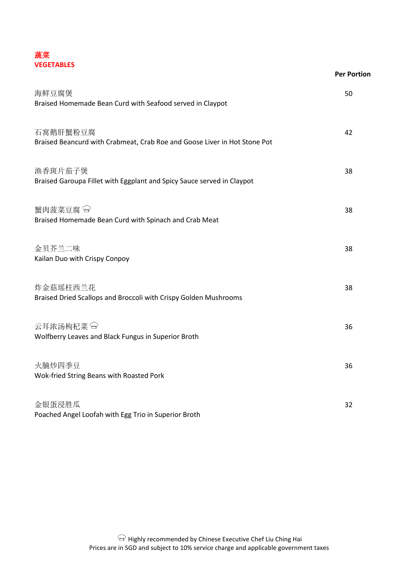## 蔬菜 **VEGETABLES**

|                                                                                       | <b>Per Portion</b> |
|---------------------------------------------------------------------------------------|--------------------|
| 海鲜豆腐煲<br>Braised Homemade Bean Curd with Seafood served in Claypot                    | 50                 |
| 石窩鹅肝蟹粉豆腐<br>Braised Beancurd with Crabmeat, Crab Roe and Goose Liver in Hot Stone Pot | 42                 |
| 渔香斑片茄子煲<br>Braised Garoupa Fillet with Eggplant and Spicy Sauce served in Claypot     | 38                 |
| 蟹肉菠菜豆腐<br>Braised Homemade Bean Curd with Spinach and Crab Meat                       | 38                 |
| 金贝芥兰二味<br>Kailan Duo with Crispy Conpoy                                               | 38                 |
| 炸金菇瑶柱西兰花<br>Braised Dried Scallops and Broccoli with Crispy Golden Mushrooms          | 38                 |
| 云耳浓汤枸杞菜9<br>Wolfberry Leaves and Black Fungus in Superior Broth                       | 36                 |
| 火腩炒四季豆<br>Wok-fried String Beans with Roasted Pork                                    | 36                 |
| 金银蛋浸胜瓜<br>Poached Angel Loofah with Egg Trio in Superior Broth                        | 32                 |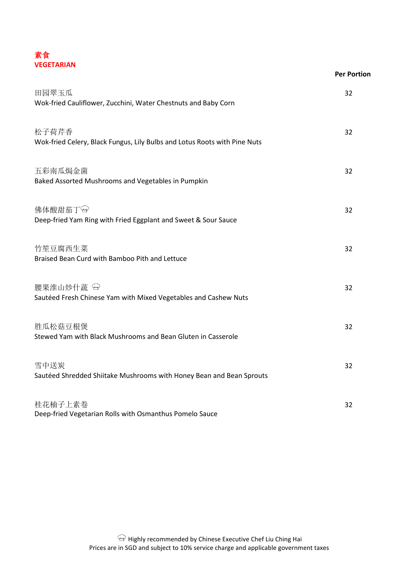

|                                                                                    | <b>Per Portion</b> |
|------------------------------------------------------------------------------------|--------------------|
| 田园翠玉瓜<br>Wok-fried Cauliflower, Zucchini, Water Chestnuts and Baby Corn            | 32                 |
| 松子荷芹香<br>Wok-fried Celery, Black Fungus, Lily Bulbs and Lotus Roots with Pine Nuts | 32                 |
| 五彩南瓜焗金菌<br>Baked Assorted Mushrooms and Vegetables in Pumpkin                      | 32                 |
| 佛体酸甜茄丁<br>Deep-fried Yam Ring with Fried Eggplant and Sweet & Sour Sauce           | 32                 |
| 竹笙豆腐西生菜<br>Braised Bean Curd with Bamboo Pith and Lettuce                          | 32                 |
| 腰果淮山炒什蔬9<br>Sautéed Fresh Chinese Yam with Mixed Vegetables and Cashew Nuts        | 32                 |
| 胜瓜松菇豆根煲<br>Stewed Yam with Black Mushrooms and Bean Gluten in Casserole            | 32                 |
| 雪中送炭<br>Sautéed Shredded Shiitake Mushrooms with Honey Bean and Bean Sprouts       | 32                 |
| 桂花柚子上素卷<br>Deep-fried Vegetarian Rolls with Osmanthus Pomelo Sauce                 | 32                 |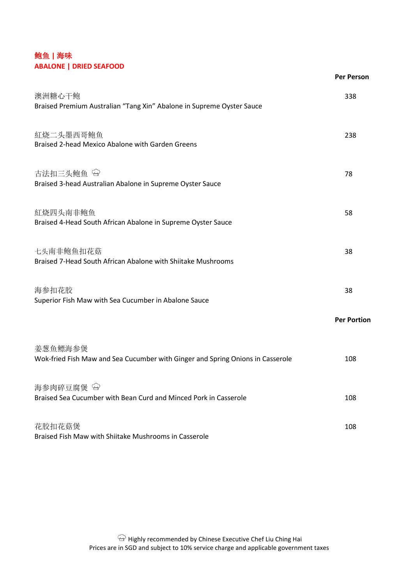# 鲍鱼 **|** 海味 **ABALONE | DRIED SEAFOOD**

|                                                                                           | <b>Per Person</b>  |
|-------------------------------------------------------------------------------------------|--------------------|
| 澳洲糖心干鲍<br>Braised Premium Australian "Tang Xin" Abalone in Supreme Oyster Sauce           | 338                |
| 紅烧二头墨西哥鲍鱼<br>Braised 2-head Mexico Abalone with Garden Greens                             | 238                |
| 古法扣三头鲍鱼 <sup>〇</sup><br>Braised 3-head Australian Abalone in Supreme Oyster Sauce         | 78                 |
| 紅烧四头南非鲍鱼<br>Braised 4-Head South African Abalone in Supreme Oyster Sauce                  | 58                 |
| 七头南非鲍鱼扣花菇<br>Braised 7-Head South African Abalone with Shiitake Mushrooms                 | 38                 |
| 海参扣花胶<br>Superior Fish Maw with Sea Cucumber in Abalone Sauce                             | 38                 |
|                                                                                           | <b>Per Portion</b> |
| 姜葱鱼鳔海参煲<br>Wok-fried Fish Maw and Sea Cucumber with Ginger and Spring Onions in Casserole | 108                |
| 海参肉碎豆腐煲 →<br>Braised Sea Cucumber with Bean Curd and Minced Pork in Casserole             | 108                |
| 花胶扣花菇煲<br>Braised Fish Maw with Shiitake Mushrooms in Casserole                           | 108                |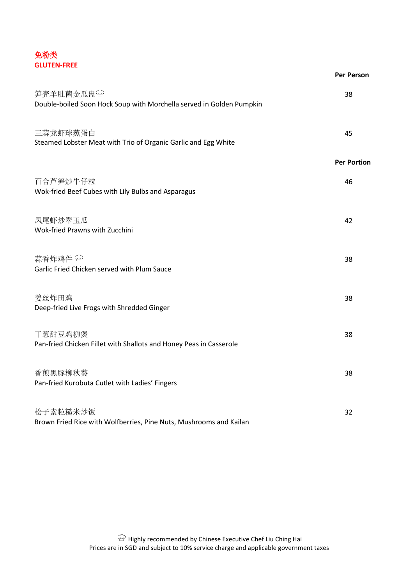# 免粉类 **GLUTEN-FREE**

|                                                                                   | <b>Per Person</b>  |
|-----------------------------------------------------------------------------------|--------------------|
| 笋壳羊肚菌金瓜盅谷<br>Double-boiled Soon Hock Soup with Morchella served in Golden Pumpkin | 38                 |
| 三蒜龙虾球蒸蛋白<br>Steamed Lobster Meat with Trio of Organic Garlic and Egg White        | 45                 |
|                                                                                   | <b>Per Portion</b> |
| 百合芦笋炒牛仔粒<br>Wok-fried Beef Cubes with Lily Bulbs and Asparagus                    | 46                 |
| 凤尾虾炒翠玉瓜<br>Wok-fried Prawns with Zucchini                                         | 42                 |
| 蒜香炸鸡件 &<br>Garlic Fried Chicken served with Plum Sauce                            | 38                 |
| 姜丝炸田鸡<br>Deep-fried Live Frogs with Shredded Ginger                               | 38                 |
| 干葱甜豆鸡柳煲<br>Pan-fried Chicken Fillet with Shallots and Honey Peas in Casserole     | 38                 |
| 香煎黑豚柳秋葵<br>Pan-fried Kurobuta Cutlet with Ladies' Fingers                         | 38                 |
| 松子素粒糙米炒饭<br>Brown Fried Rice with Wolfberries, Pine Nuts, Mushrooms and Kailan    | 32                 |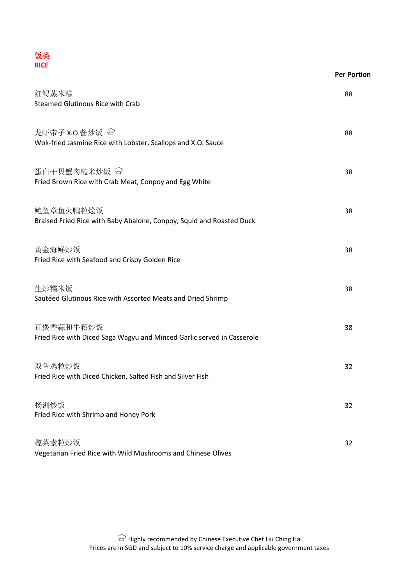

| <b>NICE</b>                                                                                   | <b>Per Portion</b> |
|-----------------------------------------------------------------------------------------------|--------------------|
| 红鲟蒸米糕<br><b>Steamed Glutinous Rice with Crab</b>                                              | 88                 |
| 龙虾带子 X.O.酱炒饭 <sup>&lt;2</sup><br>Wok-fried Jasmine Rice with Lobster, Scallops and X.O. Sauce | 88                 |
| 蛋白干贝蟹肉糙米炒饭 <sup>G</sup><br>Fried Brown Rice with Crab Meat, Conpoy and Egg White              | 38                 |
| 鲍鱼章鱼火鸭粒烩饭<br>Braised Fried Rice with Baby Abalone, Conpoy, Squid and Roasted Duck             | 38                 |
| 黄金海鮮炒饭<br>Fried Rice with Seafood and Crispy Golden Rice                                      | 38                 |
| 生炒糯米饭<br>Sautéed Glutinous Rice with Assorted Meats and Dried Shrimp                          | 38                 |
| 瓦煲香蒜和牛菘炒饭<br>Fried Rice with Diced Saga Wagyu and Minced Garlic served in Casserole           | 38                 |
| 双鱼鸡粒炒饭<br>Fried Rice with Diced Chicken, Salted Fish and Silver Fish                          | 32                 |
| 扬洲炒饭<br>Fried Rice with Shrimp and Honey Pork                                                 | 32                 |
| 榄菜素粒炒饭<br>Vegetarian Fried Rice with Wild Mushrooms and Chinese Olives                        | 32                 |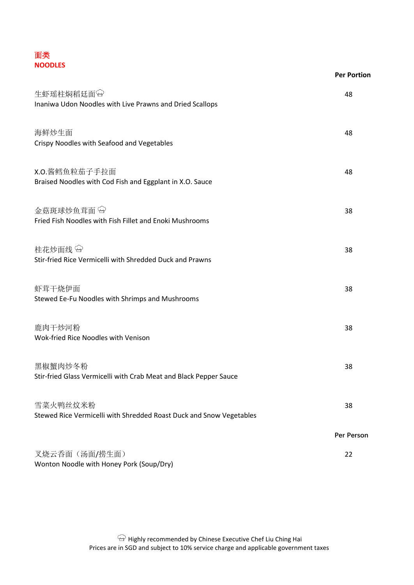| 面类             |  |
|----------------|--|
| <b>NOODLES</b> |  |

|                                                                                 | <b>Per Portion</b> |
|---------------------------------------------------------------------------------|--------------------|
| 生虾瑶柱焖稻廷面<br>Inaniwa Udon Noodles with Live Prawns and Dried Scallops            | 48                 |
| 海鲜炒生面<br>Crispy Noodles with Seafood and Vegetables                             | 48                 |
| X.O.酱鳕鱼粒茄子手拉面<br>Braised Noodles with Cod Fish and Eggplant in X.O. Sauce       | 48                 |
| 金菇斑球炒鱼茸面<br>Fried Fish Noodles with Fish Fillet and Enoki Mushrooms             | 38                 |
| 桂花炒面线 &<br>Stir-fried Rice Vermicelli with Shredded Duck and Prawns             | 38                 |
| 虾茸干烧伊面<br>Stewed Ee-Fu Noodles with Shrimps and Mushrooms                       | 38                 |
| 鹿肉干炒河粉<br>Wok-fried Rice Noodles with Venison                                   | 38                 |
| 黑椒蟹肉炒冬粉<br>Stir-fried Glass Vermicelli with Crab Meat and Black Pepper Sauce    | 38                 |
| 雪菜火鸭丝炆米粉<br>Stewed Rice Vermicelli with Shredded Roast Duck and Snow Vegetables | 38                 |
|                                                                                 | Per Person         |
| 叉烧云香面 (汤面/捞生面)<br>Wonton Noodle with Honey Pork (Soup/Dry)                      | 22                 |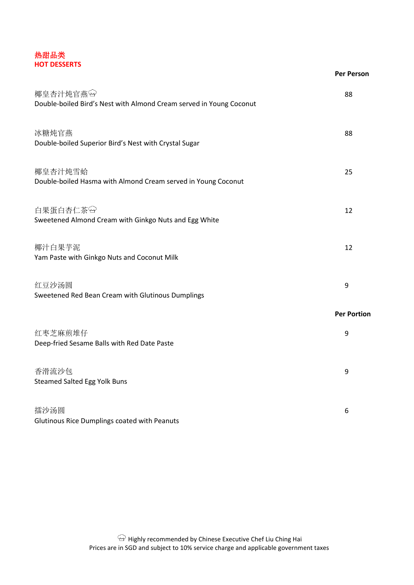#### 热甜品类 **HOT DESSERTS**

|                                                                                 | <b>Per Person</b>  |
|---------------------------------------------------------------------------------|--------------------|
| 椰皇杏汁炖官燕田<br>Double-boiled Bird's Nest with Almond Cream served in Young Coconut | 88                 |
| 冰糖炖官燕<br>Double-boiled Superior Bird's Nest with Crystal Sugar                  | 88                 |
| 椰皇杏汁炖雪蛤<br>Double-boiled Hasma with Almond Cream served in Young Coconut        | 25                 |
| 白果蛋白杏仁茶<br>Sweetened Almond Cream with Ginkgo Nuts and Egg White                | 12                 |
| 椰汁白果芋泥<br>Yam Paste with Ginkgo Nuts and Coconut Milk                           | 12                 |
| 红豆沙汤圆<br>Sweetened Red Bean Cream with Glutinous Dumplings                      | 9                  |
|                                                                                 | <b>Per Portion</b> |
| 红枣芝麻煎堆仔<br>Deep-fried Sesame Balls with Red Date Paste                          | 9                  |
| 香滑流沙包<br><b>Steamed Salted Egg Yolk Buns</b>                                    | 9                  |
| 擂沙汤圆<br>Glutinous Rice Dumplings coated with Peanuts                            | 6                  |